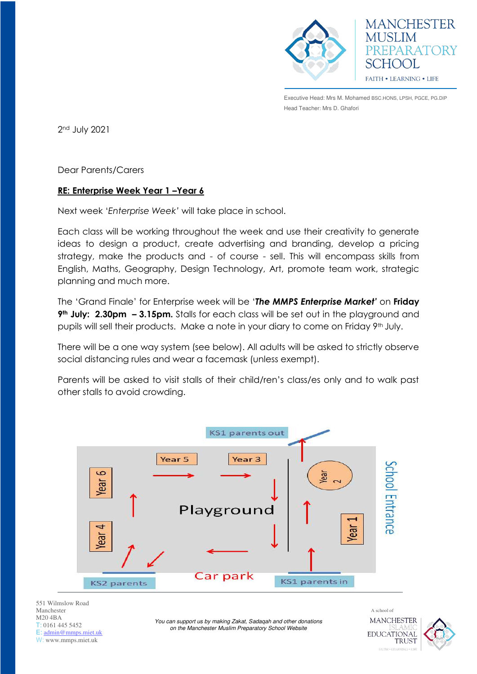

**MANCHESTER MUSLIM** EPARATORY CHOOL FAITH . LEARNING . LIFE

Executive Head: Mrs M. Mohamed BSC.HONS, LPSH, PGCE, PG.DIP Head Teacher: Mrs D. Ghafori

2nd July 2021

Dear Parents/Carers

## **RE: Enterprise Week Year 1 –Year 6**

Next week '*Enterprise Week'* will take place in school.

Each class will be working throughout the week and use their creativity to generate ideas to design a product, create advertising and branding, develop a pricing strategy, make the products and - of course - sell. This will encompass skills from English, Maths, Geography, Design Technology, Art, promote team work, strategic planning and much more.

The 'Grand Finale' for Enterprise week will be '*The MMPS Enterprise Market'* on **Friday 9th July: 2.30pm – 3.15pm.** Stalls for each class will be set out in the playground and pupils will sell their products. Make a note in your diary to come on Friday 9<sup>th</sup> July.

There will be a one way system (see below). All adults will be asked to strictly observe social distancing rules and wear a facemask (unless exempt).

Parents will be asked to visit stalls of their child/ren's class/es only and to walk past other stalls to avoid crowding.



551 Wilmslow Road Manchester M20 4BA T: 0161 445 5452 E: [admin@mmps.miet.uk](mailto:admin@mmps.miet.uk) W: www.mmps.miet.uk

*You can support us by making Zakat, Sadaqah and other donations on the Manchester Muslim Preparatory School Website* 

A school of **MANCHESTER EDUCATIONAL TRUST**